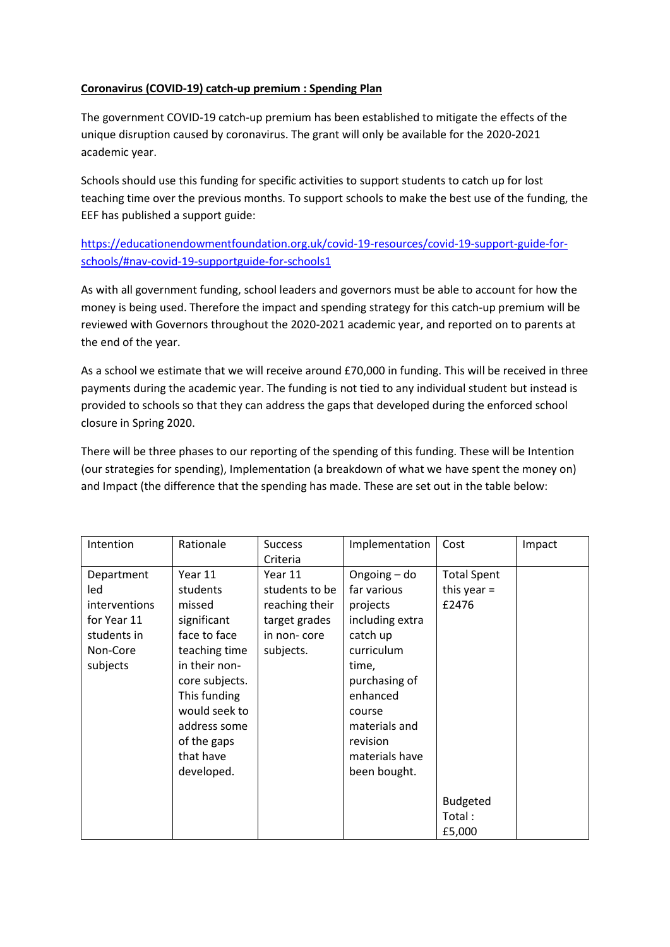## **Coronavirus (COVID-19) catch-up premium : Spending Plan**

The government COVID-19 catch-up premium has been established to mitigate the effects of the unique disruption caused by coronavirus. The grant will only be available for the 2020-2021 academic year.

Schools should use this funding for specific activities to support students to catch up for lost teaching time over the previous months. To support schools to make the best use of the funding, the EEF has published a support guide:

[https://educationendowmentfoundation.org.uk/covid-19-resources/covid-19-support-guide-for](https://educationendowmentfoundation.org.uk/covid-19-resources/covid-19-support-guide-for-schools/%23nav-covid-19-supportguide-for-schools1)[schools/#nav-covid-19-supportguide-for-schools1](https://educationendowmentfoundation.org.uk/covid-19-resources/covid-19-support-guide-for-schools/%23nav-covid-19-supportguide-for-schools1)

As with all government funding, school leaders and governors must be able to account for how the money is being used. Therefore the impact and spending strategy for this catch-up premium will be reviewed with Governors throughout the 2020-2021 academic year, and reported on to parents at the end of the year.

As a school we estimate that we will receive around £70,000 in funding. This will be received in three payments during the academic year. The funding is not tied to any individual student but instead is provided to schools so that they can address the gaps that developed during the enforced school closure in Spring 2020.

There will be three phases to our reporting of the spending of this funding. These will be Intention (our strategies for spending), Implementation (a breakdown of what we have spent the money on) and Impact (the difference that the spending has made. These are set out in the table below:

| Intention                                                                                | Rationale                                                                                                                                                                                                   | <b>Success</b><br>Criteria                                                               | Implementation                                                                                                                                                                                      | Cost                                                            | Impact |
|------------------------------------------------------------------------------------------|-------------------------------------------------------------------------------------------------------------------------------------------------------------------------------------------------------------|------------------------------------------------------------------------------------------|-----------------------------------------------------------------------------------------------------------------------------------------------------------------------------------------------------|-----------------------------------------------------------------|--------|
| Department<br>led<br>interventions<br>for Year 11<br>students in<br>Non-Core<br>subjects | Year 11<br>students<br>missed<br>significant<br>face to face<br>teaching time<br>in their non-<br>core subjects.<br>This funding<br>would seek to<br>address some<br>of the gaps<br>that have<br>developed. | Year 11<br>students to be<br>reaching their<br>target grades<br>in non-core<br>subjects. | Ongoing - do<br>far various<br>projects<br>including extra<br>catch up<br>curriculum<br>time,<br>purchasing of<br>enhanced<br>course<br>materials and<br>revision<br>materials have<br>been bought. | <b>Total Spent</b><br>this year $=$<br>£2476<br><b>Budgeted</b> |        |
|                                                                                          |                                                                                                                                                                                                             |                                                                                          |                                                                                                                                                                                                     | Total:<br>£5,000                                                |        |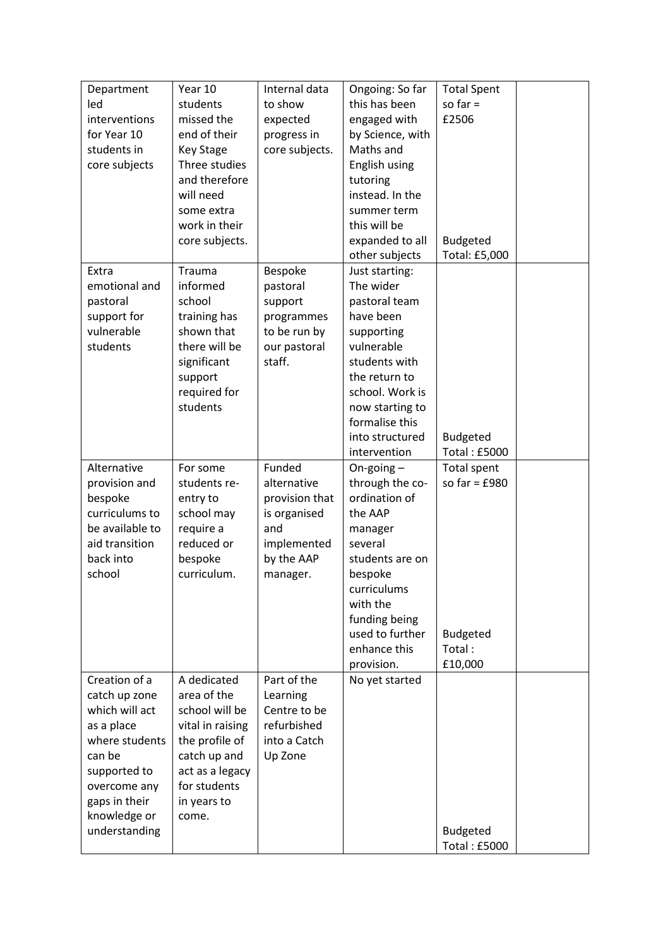| Department      | Year 10          | Internal data  | Ongoing: So far  | <b>Total Spent</b>  |
|-----------------|------------------|----------------|------------------|---------------------|
| led             | students         | to show        | this has been    | so far $=$          |
| interventions   | missed the       | expected       | engaged with     | £2506               |
| for Year 10     | end of their     | progress in    | by Science, with |                     |
| students in     | <b>Key Stage</b> | core subjects. | Maths and        |                     |
| core subjects   | Three studies    |                | English using    |                     |
|                 | and therefore    |                | tutoring         |                     |
|                 | will need        |                | instead. In the  |                     |
|                 | some extra       |                | summer term      |                     |
|                 | work in their    |                | this will be     |                     |
|                 | core subjects.   |                | expanded to all  | <b>Budgeted</b>     |
|                 |                  |                |                  | Total: £5,000       |
|                 |                  |                | other subjects   |                     |
| Extra           | Trauma           | Bespoke        | Just starting:   |                     |
| emotional and   | informed         | pastoral       | The wider        |                     |
| pastoral        | school           | support        | pastoral team    |                     |
| support for     | training has     | programmes     | have been        |                     |
| vulnerable      | shown that       | to be run by   | supporting       |                     |
| students        | there will be    | our pastoral   | vulnerable       |                     |
|                 | significant      | staff.         | students with    |                     |
|                 | support          |                | the return to    |                     |
|                 | required for     |                | school. Work is  |                     |
|                 | students         |                | now starting to  |                     |
|                 |                  |                | formalise this   |                     |
|                 |                  |                | into structured  | <b>Budgeted</b>     |
|                 |                  |                | intervention     | <b>Total: £5000</b> |
| Alternative     | For some         | Funded         | On-going $-$     | Total spent         |
| provision and   | students re-     | alternative    | through the co-  | so far = $£980$     |
| bespoke         | entry to         | provision that | ordination of    |                     |
| curriculums to  | school may       | is organised   | the AAP          |                     |
| be available to | require a        | and            | manager          |                     |
| aid transition  | reduced or       | implemented    | several          |                     |
| back into       | bespoke          | by the AAP     | students are on  |                     |
| school          | curriculum.      | manager.       | bespoke          |                     |
|                 |                  |                | curriculums      |                     |
|                 |                  |                | with the         |                     |
|                 |                  |                | funding being    |                     |
|                 |                  |                | used to further  | <b>Budgeted</b>     |
|                 |                  |                | enhance this     | Total:              |
|                 |                  |                | provision.       | £10,000             |
| Creation of a   | A dedicated      | Part of the    | No yet started   |                     |
| catch up zone   | area of the      | Learning       |                  |                     |
| which will act  | school will be   | Centre to be   |                  |                     |
| as a place      | vital in raising | refurbished    |                  |                     |
| where students  | the profile of   | into a Catch   |                  |                     |
| can be          | catch up and     | Up Zone        |                  |                     |
| supported to    | act as a legacy  |                |                  |                     |
| overcome any    | for students     |                |                  |                     |
| gaps in their   | in years to      |                |                  |                     |
| knowledge or    | come.            |                |                  |                     |
| understanding   |                  |                |                  | <b>Budgeted</b>     |
|                 |                  |                |                  | <b>Total: £5000</b> |